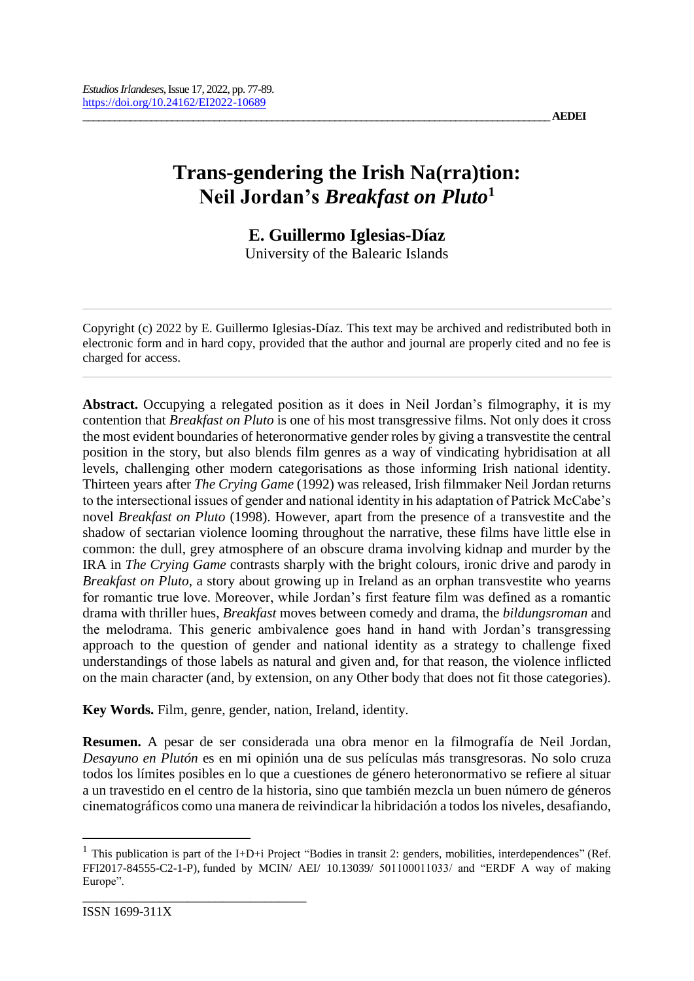## **Trans-gendering the Irish Na(rra)tion: Neil Jordan's** *Breakfast on Pluto***<sup>1</sup>**

# **E. Guillermo Iglesias-Díaz**

University of the Balearic Islands

Copyright (c) 2022 by E. Guillermo Iglesias-Díaz. This text may be archived and redistributed both in electronic form and in hard copy, provided that the author and journal are properly cited and no fee is charged for access.

**Abstract.** Occupying a relegated position as it does in Neil Jordan's filmography, it is my contention that *Breakfast on Pluto* is one of his most transgressive films. Not only does it cross the most evident boundaries of heteronormative gender roles by giving a transvestite the central position in the story, but also blends film genres as a way of vindicating hybridisation at all levels, challenging other modern categorisations as those informing Irish national identity. Thirteen years after *The Crying Game* (1992) was released, Irish filmmaker Neil Jordan returns to the intersectional issues of gender and national identity in his adaptation of Patrick McCabe's novel *Breakfast on Pluto* (1998). However, apart from the presence of a transvestite and the shadow of sectarian violence looming throughout the narrative, these films have little else in common: the dull, grey atmosphere of an obscure drama involving kidnap and murder by the IRA in *The Crying Game* contrasts sharply with the bright colours, ironic drive and parody in *Breakfast on Pluto*, a story about growing up in Ireland as an orphan transvestite who yearns for romantic true love. Moreover, while Jordan's first feature film was defined as a romantic drama with thriller hues, *Breakfast* moves between comedy and drama, the *bildungsroman* and the melodrama. This generic ambivalence goes hand in hand with Jordan's transgressing approach to the question of gender and national identity as a strategy to challenge fixed understandings of those labels as natural and given and, for that reason, the violence inflicted on the main character (and, by extension, on any Other body that does not fit those categories).

**Key Words.** Film, genre, gender, nation, Ireland, identity.

**Resumen.** A pesar de ser considerada una obra menor en la filmografía de Neil Jordan, *Desayuno en Plutón* es en mi opinión una de sus películas más transgresoras. No solo cruza todos los límites posibles en lo que a cuestiones de género heteronormativo se refiere al situar a un travestido en el centro de la historia, sino que también mezcla un buen número de géneros cinematográficos como una manera de reivindicar la hibridación a todos los niveles, desafiando,

<sup>&</sup>lt;sup>1</sup> This publication is part of the I+D+i Project "Bodies in transit 2: genders, mobilities, interdependences" (Ref. FFI2017-84555-C2-1-P), funded by MCIN/ AEI/ 10.13039/ 501100011033/ and "ERDF A way of making Europe".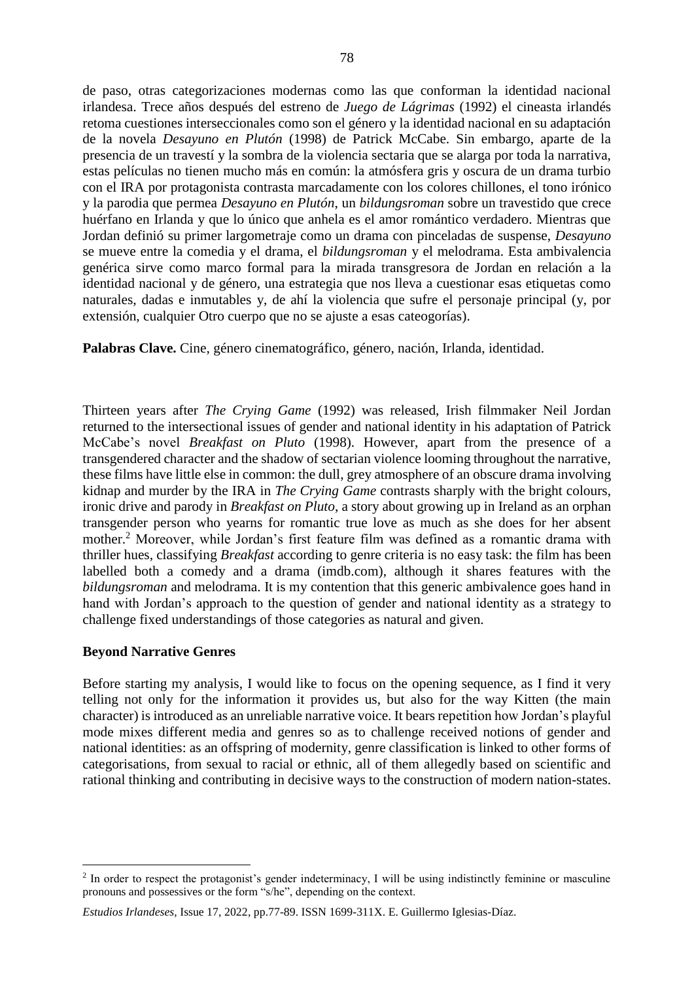de paso, otras categorizaciones modernas como las que conforman la identidad nacional irlandesa. Trece años después del estreno de *Juego de Lágrimas* (1992) el cineasta irlandés retoma cuestiones interseccionales como son el género y la identidad nacional en su adaptación de la novela *Desayuno en Plutón* (1998) de Patrick McCabe. Sin embargo, aparte de la presencia de un travestí y la sombra de la violencia sectaria que se alarga por toda la narrativa, estas películas no tienen mucho más en común: la atmósfera gris y oscura de un drama turbio con el IRA por protagonista contrasta marcadamente con los colores chillones, el tono irónico y la parodia que permea *Desayuno en Plutón*, un *bildungsroman* sobre un travestido que crece huérfano en Irlanda y que lo único que anhela es el amor romántico verdadero. Mientras que Jordan definió su primer largometraje como un drama con pinceladas de suspense, *Desayuno* se mueve entre la comedia y el drama, el *bildungsroman* y el melodrama. Esta ambivalencia genérica sirve como marco formal para la mirada transgresora de Jordan en relación a la identidad nacional y de género, una estrategia que nos lleva a cuestionar esas etiquetas como naturales, dadas e inmutables y, de ahí la violencia que sufre el personaje principal (y, por extensión, cualquier Otro cuerpo que no se ajuste a esas cateogorías).

**Palabras Clave.** Cine, género cinematográfico, género, nación, Irlanda, identidad.

Thirteen years after *The Crying Game* (1992) was released, Irish filmmaker Neil Jordan returned to the intersectional issues of gender and national identity in his adaptation of Patrick McCabe's novel *Breakfast on Pluto* (1998). However, apart from the presence of a transgendered character and the shadow of sectarian violence looming throughout the narrative, these films have little else in common: the dull, grey atmosphere of an obscure drama involving kidnap and murder by the IRA in *The Crying Game* contrasts sharply with the bright colours, ironic drive and parody in *Breakfast on Pluto*, a story about growing up in Ireland as an orphan transgender person who yearns for romantic true love as much as she does for her absent mother.<sup>2</sup> Moreover, while Jordan's first feature film was defined as a romantic drama with thriller hues, classifying *Breakfast* according to genre criteria is no easy task: the film has been labelled both a comedy and a drama (imdb.com), although it shares features with the *bildungsroman* and melodrama. It is my contention that this generic ambivalence goes hand in hand with Jordan's approach to the question of gender and national identity as a strategy to challenge fixed understandings of those categories as natural and given.

### **Beyond Narrative Genres**

 $\overline{a}$ 

Before starting my analysis, I would like to focus on the opening sequence, as I find it very telling not only for the information it provides us, but also for the way Kitten (the main character) is introduced as an unreliable narrative voice. It bears repetition how Jordan's playful mode mixes different media and genres so as to challenge received notions of gender and national identities: as an offspring of modernity, genre classification is linked to other forms of categorisations, from sexual to racial or ethnic, all of them allegedly based on scientific and rational thinking and contributing in decisive ways to the construction of modern nation-states.

<sup>&</sup>lt;sup>2</sup> In order to respect the protagonist's gender indeterminacy, I will be using indistinctly feminine or masculine pronouns and possessives or the form "s/he", depending on the context.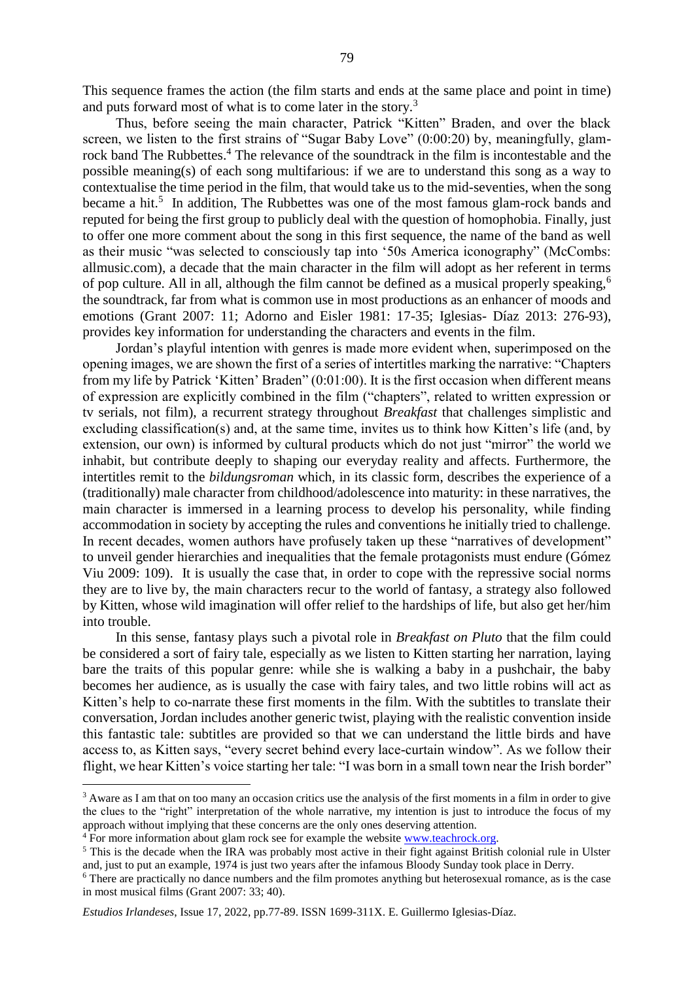This sequence frames the action (the film starts and ends at the same place and point in time) and puts forward most of what is to come later in the story.<sup>3</sup>

Thus, before seeing the main character, Patrick "Kitten" Braden, and over the black screen, we listen to the first strains of "Sugar Baby Love" (0:00:20) by, meaningfully, glamrock band The Rubbettes.<sup>4</sup> The relevance of the soundtrack in the film is incontestable and the possible meaning(s) of each song multifarious: if we are to understand this song as a way to contextualise the time period in the film, that would take us to the mid-seventies, when the song became a hit.<sup>5</sup> In addition, The Rubbettes was one of the most famous glam-rock bands and reputed for being the first group to publicly deal with the question of homophobia. Finally, just to offer one more comment about the song in this first sequence, the name of the band as well as their music "was selected to consciously tap into '50s America iconography" (McCombs: allmusic.com), a decade that the main character in the film will adopt as her referent in terms of pop culture. All in all, although the film cannot be defined as a musical properly speaking,<sup>6</sup> the soundtrack, far from what is common use in most productions as an enhancer of moods and emotions (Grant 2007: 11; Adorno and Eisler 1981: 17-35; Iglesias- Díaz 2013: 276-93), provides key information for understanding the characters and events in the film.

Jordan's playful intention with genres is made more evident when, superimposed on the opening images, we are shown the first of a series of intertitles marking the narrative: "Chapters from my life by Patrick 'Kitten' Braden" (0:01:00). It is the first occasion when different means of expression are explicitly combined in the film ("chapters", related to written expression or tv serials, not film), a recurrent strategy throughout *Breakfast* that challenges simplistic and excluding classification(s) and, at the same time, invites us to think how Kitten's life (and, by extension, our own) is informed by cultural products which do not just "mirror" the world we inhabit, but contribute deeply to shaping our everyday reality and affects. Furthermore, the intertitles remit to the *bildungsroman* which, in its classic form, describes the experience of a (traditionally) male character from childhood/adolescence into maturity: in these narratives, the main character is immersed in a learning process to develop his personality, while finding accommodation in society by accepting the rules and conventions he initially tried to challenge. In recent decades, women authors have profusely taken up these "narratives of development" to unveil gender hierarchies and inequalities that the female protagonists must endure (Gómez Viu 2009: 109). It is usually the case that, in order to cope with the repressive social norms they are to live by, the main characters recur to the world of fantasy, a strategy also followed by Kitten, whose wild imagination will offer relief to the hardships of life, but also get her/him into trouble.

In this sense, fantasy plays such a pivotal role in *Breakfast on Pluto* that the film could be considered a sort of fairy tale, especially as we listen to Kitten starting her narration, laying bare the traits of this popular genre: while she is walking a baby in a pushchair, the baby becomes her audience, as is usually the case with fairy tales, and two little robins will act as Kitten's help to co-narrate these first moments in the film. With the subtitles to translate their conversation, Jordan includes another generic twist, playing with the realistic convention inside this fantastic tale: subtitles are provided so that we can understand the little birds and have access to, as Kitten says, "every secret behind every lace-curtain window". As we follow their flight, we hear Kitten's voice starting her tale: "I was born in a small town near the Irish border"

<sup>&</sup>lt;sup>3</sup> Aware as I am that on too many an occasion critics use the analysis of the first moments in a film in order to give the clues to the "right" interpretation of the whole narrative, my intention is just to introduce the focus of my approach without implying that these concerns are the only ones deserving attention.

<sup>4</sup> For more information about glam rock see for example the website [www.teachrock.org.](http://www.teachrock.org/)

<sup>&</sup>lt;sup>5</sup> This is the decade when the IRA was probably most active in their fight against British colonial rule in Ulster and, just to put an example, 1974 is just two years after the infamous Bloody Sunday took place in Derry.

<sup>6</sup> There are practically no dance numbers and the film promotes anything but heterosexual romance, as is the case in most musical films (Grant 2007: 33; 40).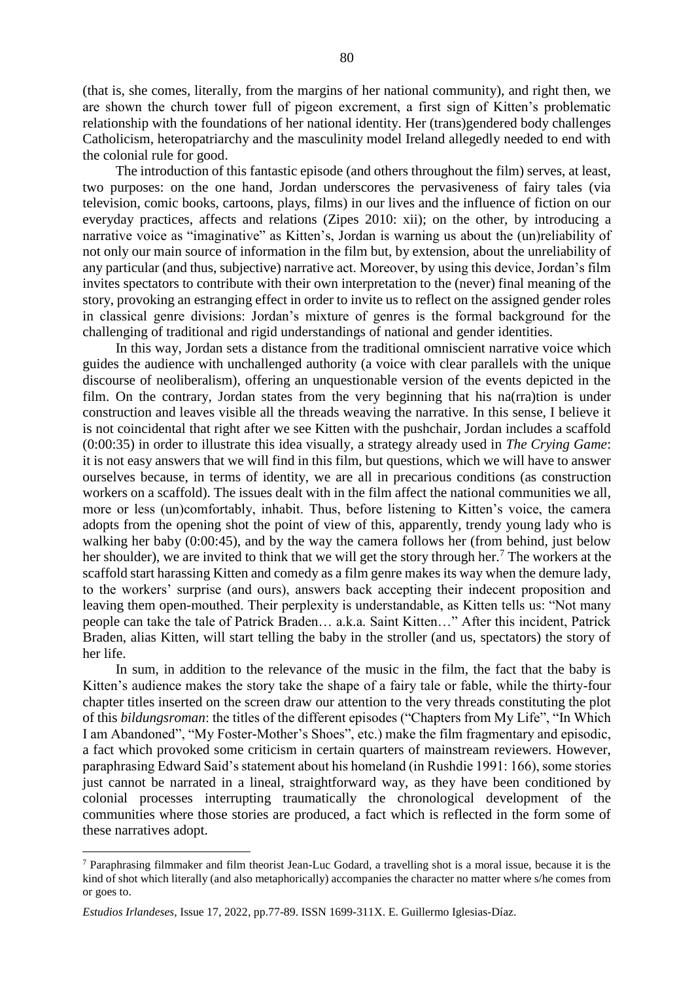(that is, she comes, literally, from the margins of her national community), and right then, we are shown the church tower full of pigeon excrement, a first sign of Kitten's problematic relationship with the foundations of her national identity. Her (trans)gendered body challenges Catholicism, heteropatriarchy and the masculinity model Ireland allegedly needed to end with the colonial rule for good.

The introduction of this fantastic episode (and others throughout the film) serves, at least, two purposes: on the one hand, Jordan underscores the pervasiveness of fairy tales (via television, comic books, cartoons, plays, films) in our lives and the influence of fiction on our everyday practices, affects and relations (Zipes 2010: xii); on the other, by introducing a narrative voice as "imaginative" as Kitten's, Jordan is warning us about the (un)reliability of not only our main source of information in the film but, by extension, about the unreliability of any particular (and thus, subjective) narrative act. Moreover, by using this device, Jordan's film invites spectators to contribute with their own interpretation to the (never) final meaning of the story, provoking an estranging effect in order to invite us to reflect on the assigned gender roles in classical genre divisions: Jordan's mixture of genres is the formal background for the challenging of traditional and rigid understandings of national and gender identities.

In this way, Jordan sets a distance from the traditional omniscient narrative voice which guides the audience with unchallenged authority (a voice with clear parallels with the unique discourse of neoliberalism), offering an unquestionable version of the events depicted in the film. On the contrary, Jordan states from the very beginning that his na(rra)tion is under construction and leaves visible all the threads weaving the narrative. In this sense, I believe it is not coincidental that right after we see Kitten with the pushchair, Jordan includes a scaffold (0:00:35) in order to illustrate this idea visually, a strategy already used in *The Crying Game*: it is not easy answers that we will find in this film, but questions, which we will have to answer ourselves because, in terms of identity, we are all in precarious conditions (as construction workers on a scaffold). The issues dealt with in the film affect the national communities we all, more or less (un)comfortably, inhabit. Thus, before listening to Kitten's voice, the camera adopts from the opening shot the point of view of this, apparently, trendy young lady who is walking her baby (0:00:45), and by the way the camera follows her (from behind, just below her shoulder), we are invited to think that we will get the story through her.<sup>7</sup> The workers at the scaffold start harassing Kitten and comedy as a film genre makes its way when the demure lady, to the workers' surprise (and ours), answers back accepting their indecent proposition and leaving them open-mouthed. Their perplexity is understandable, as Kitten tells us: "Not many people can take the tale of Patrick Braden… a.k.a. Saint Kitten…" After this incident, Patrick Braden, alias Kitten, will start telling the baby in the stroller (and us, spectators) the story of her life.

In sum, in addition to the relevance of the music in the film, the fact that the baby is Kitten's audience makes the story take the shape of a fairy tale or fable, while the thirty-four chapter titles inserted on the screen draw our attention to the very threads constituting the plot of this *bildungsroman*: the titles of the different episodes ("Chapters from My Life", "In Which I am Abandoned", "My Foster-Mother's Shoes", etc.) make the film fragmentary and episodic, a fact which provoked some criticism in certain quarters of mainstream reviewers. However, paraphrasing Edward Said's statement about his homeland (in Rushdie 1991: 166), some stories just cannot be narrated in a lineal, straightforward way, as they have been conditioned by colonial processes interrupting traumatically the chronological development of the communities where those stories are produced, a fact which is reflected in the form some of these narratives adopt.

<sup>7</sup> Paraphrasing filmmaker and film theorist Jean-Luc Godard, a travelling shot is a moral issue, because it is the kind of shot which literally (and also metaphorically) accompanies the character no matter where s/he comes from or goes to.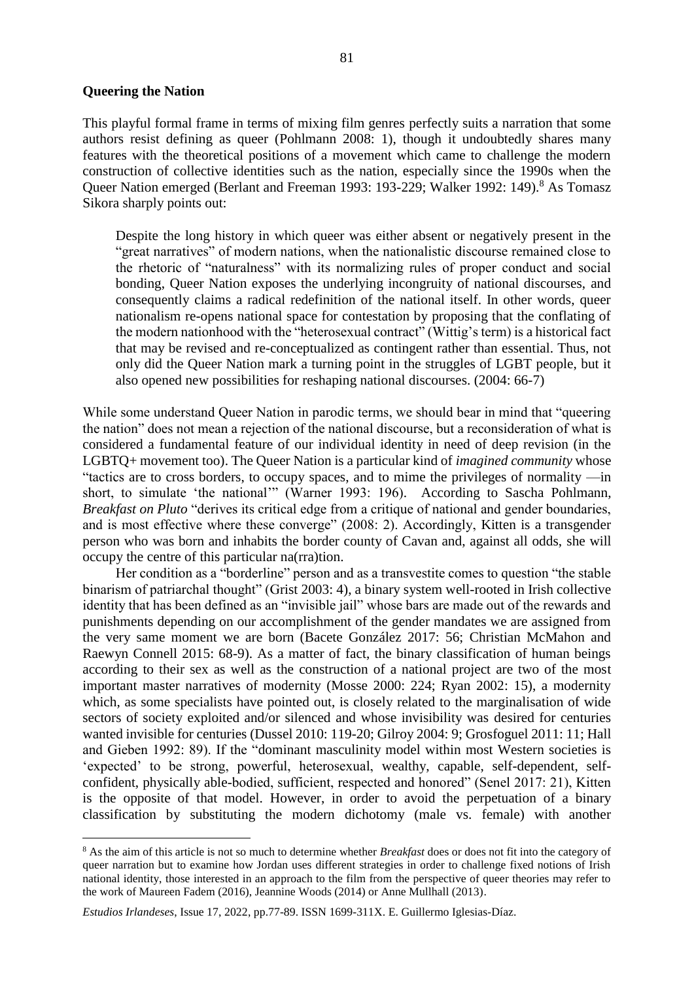#### **Queering the Nation**

 $\overline{a}$ 

This playful formal frame in terms of mixing film genres perfectly suits a narration that some authors resist defining as queer (Pohlmann 2008: 1), though it undoubtedly shares many features with the theoretical positions of a movement which came to challenge the modern construction of collective identities such as the nation, especially since the 1990s when the Queer Nation emerged (Berlant and Freeman 1993: 193-229; Walker 1992: 149).<sup>8</sup> As Tomasz Sikora sharply points out:

Despite the long history in which queer was either absent or negatively present in the "great narratives" of modern nations, when the nationalistic discourse remained close to the rhetoric of "naturalness" with its normalizing rules of proper conduct and social bonding, Queer Nation exposes the underlying incongruity of national discourses, and consequently claims a radical redefinition of the national itself. In other words, queer nationalism re-opens national space for contestation by proposing that the conflating of the modern nationhood with the "heterosexual contract" (Wittig's term) is a historical fact that may be revised and re-conceptualized as contingent rather than essential. Thus, not only did the Queer Nation mark a turning point in the struggles of LGBT people, but it also opened new possibilities for reshaping national discourses. (2004: 66-7)

While some understand Queer Nation in parodic terms, we should bear in mind that "queering the nation" does not mean a rejection of the national discourse, but a reconsideration of what is considered a fundamental feature of our individual identity in need of deep revision (in the LGBTQ+ movement too). The Queer Nation is a particular kind of *imagined community* whose "tactics are to cross borders, to occupy spaces, and to mime the privileges of normality —in short, to simulate 'the national'" (Warner 1993: 196). According to Sascha Pohlmann, *Breakfast on Pluto* "derives its critical edge from a critique of national and gender boundaries, and is most effective where these converge" (2008: 2). Accordingly, Kitten is a transgender person who was born and inhabits the border county of Cavan and, against all odds, she will occupy the centre of this particular na(rra)tion.

Her condition as a "borderline" person and as a transvestite comes to question "the stable binarism of patriarchal thought" (Grist 2003: 4), a binary system well-rooted in Irish collective identity that has been defined as an "invisible jail" whose bars are made out of the rewards and punishments depending on our accomplishment of the gender mandates we are assigned from the very same moment we are born (Bacete González 2017: 56; Christian McMahon and Raewyn Connell 2015: 68-9). As a matter of fact, the binary classification of human beings according to their sex as well as the construction of a national project are two of the most important master narratives of modernity (Mosse 2000: 224; Ryan 2002: 15), a modernity which, as some specialists have pointed out, is closely related to the marginalisation of wide sectors of society exploited and/or silenced and whose invisibility was desired for centuries wanted invisible for centuries (Dussel 2010: 119-20; Gilroy 2004: 9; Grosfoguel 2011: 11; Hall and Gieben 1992: 89). If the "dominant masculinity model within most Western societies is 'expected' to be strong, powerful, heterosexual, wealthy, capable, self-dependent, selfconfident, physically able-bodied, sufficient, respected and honored" (Senel 2017: 21), Kitten is the opposite of that model. However, in order to avoid the perpetuation of a binary classification by substituting the modern dichotomy (male vs. female) with another

<sup>8</sup> As the aim of this article is not so much to determine whether *Breakfast* does or does not fit into the category of queer narration but to examine how Jordan uses different strategies in order to challenge fixed notions of Irish national identity, those interested in an approach to the film from the perspective of queer theories may refer to the work of Maureen Fadem (2016), Jeannine Woods (2014) or Anne Mullhall (2013).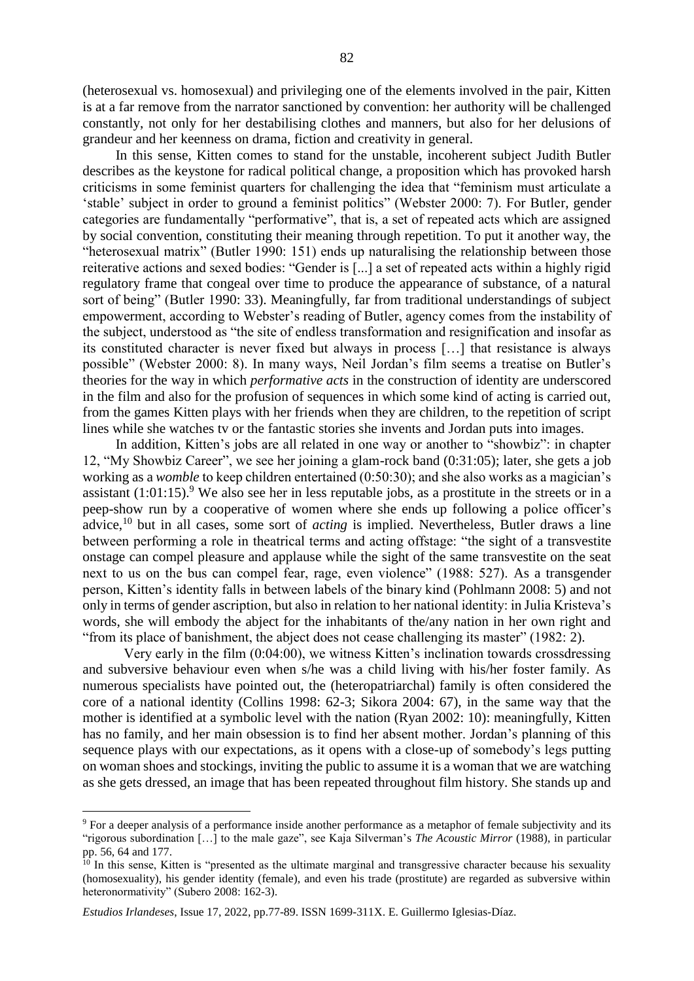(heterosexual vs. homosexual) and privileging one of the elements involved in the pair, Kitten is at a far remove from the narrator sanctioned by convention: her authority will be challenged constantly, not only for her destabilising clothes and manners, but also for her delusions of grandeur and her keenness on drama, fiction and creativity in general.

In this sense, Kitten comes to stand for the unstable, incoherent subject Judith Butler describes as the keystone for radical political change, a proposition which has provoked harsh criticisms in some feminist quarters for challenging the idea that "feminism must articulate a 'stable' subject in order to ground a feminist politics" (Webster 2000: 7). For Butler, gender categories are fundamentally "performative", that is, a set of repeated acts which are assigned by social convention, constituting their meaning through repetition. To put it another way, the "heterosexual matrix" (Butler 1990: 151) ends up naturalising the relationship between those reiterative actions and sexed bodies: "Gender is [...] a set of repeated acts within a highly rigid regulatory frame that congeal over time to produce the appearance of substance, of a natural sort of being" (Butler 1990: 33). Meaningfully, far from traditional understandings of subject empowerment, according to Webster's reading of Butler, agency comes from the instability of the subject, understood as "the site of endless transformation and resignification and insofar as its constituted character is never fixed but always in process […] that resistance is always possible" (Webster 2000: 8). In many ways, Neil Jordan's film seems a treatise on Butler's theories for the way in which *performative acts* in the construction of identity are underscored in the film and also for the profusion of sequences in which some kind of acting is carried out, from the games Kitten plays with her friends when they are children, to the repetition of script lines while she watches tv or the fantastic stories she invents and Jordan puts into images.

In addition, Kitten's jobs are all related in one way or another to "showbiz": in chapter 12, "My Showbiz Career", we see her joining a glam-rock band (0:31:05); later, she gets a job working as a *womble* to keep children entertained (0:50:30); and she also works as a magician's assistant  $(1:01:15)$ .<sup>9</sup> We also see her in less reputable jobs, as a prostitute in the streets or in a peep-show run by a cooperative of women where she ends up following a police officer's advice,<sup>10</sup> but in all cases, some sort of *acting* is implied. Nevertheless, Butler draws a line between performing a role in theatrical terms and acting offstage: "the sight of a transvestite onstage can compel pleasure and applause while the sight of the same transvestite on the seat next to us on the bus can compel fear, rage, even violence" (1988: 527). As a transgender person, Kitten's identity falls in between labels of the binary kind (Pohlmann 2008: 5) and not only in terms of gender ascription, but also in relation to her national identity: in Julia Kristeva's words, she will embody the abject for the inhabitants of the/any nation in her own right and "from its place of banishment, the abject does not cease challenging its master" (1982: 2).

Very early in the film (0:04:00), we witness Kitten's inclination towards crossdressing and subversive behaviour even when s/he was a child living with his/her foster family. As numerous specialists have pointed out, the (heteropatriarchal) family is often considered the core of a national identity (Collins 1998: 62-3; Sikora 2004: 67), in the same way that the mother is identified at a symbolic level with the nation (Ryan 2002: 10): meaningfully, Kitten has no family, and her main obsession is to find her absent mother. Jordan's planning of this sequence plays with our expectations, as it opens with a close-up of somebody's legs putting on woman shoes and stockings, inviting the public to assume it is a woman that we are watching as she gets dressed, an image that has been repeated throughout film history. She stands up and

<sup>9</sup> For a deeper analysis of a performance inside another performance as a metaphor of female subjectivity and its "rigorous subordination […] to the male gaze", see Kaja Silverman's *The Acoustic Mirror* (1988), in particular pp. 56, 64 and 177.

 $10$  In this sense, Kitten is "presented as the ultimate marginal and transgressive character because his sexuality (homosexuality), his gender identity (female), and even his trade (prostitute) are regarded as subversive within heteronormativity" (Subero 2008: 162-3).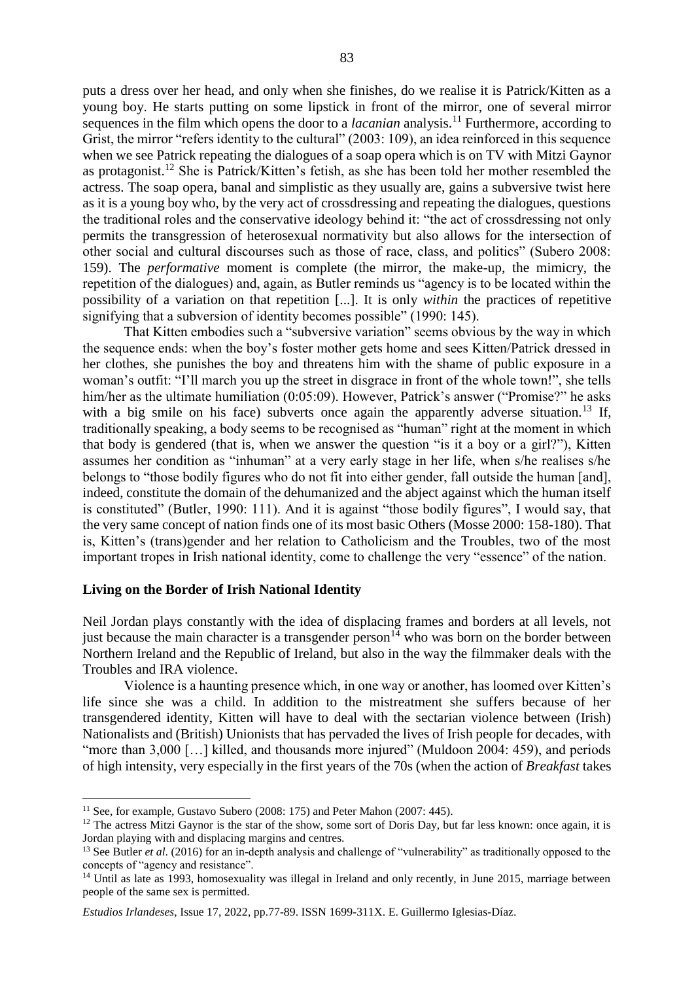puts a dress over her head, and only when she finishes, do we realise it is Patrick/Kitten as a young boy. He starts putting on some lipstick in front of the mirror, one of several mirror sequences in the film which opens the door to a *lacanian* analysis.<sup>11</sup> Furthermore, according to Grist, the mirror "refers identity to the cultural" (2003: 109), an idea reinforced in this sequence when we see Patrick repeating the dialogues of a soap opera which is on TV with Mitzi Gaynor as protagonist.<sup>12</sup> She is Patrick/Kitten's fetish, as she has been told her mother resembled the actress. The soap opera, banal and simplistic as they usually are, gains a subversive twist here as it is a young boy who, by the very act of crossdressing and repeating the dialogues, questions the traditional roles and the conservative ideology behind it: "the act of crossdressing not only permits the transgression of heterosexual normativity but also allows for the intersection of other social and cultural discourses such as those of race, class, and politics" (Subero 2008: 159). The *performative* moment is complete (the mirror, the make-up, the mimicry, the repetition of the dialogues) and, again, as Butler reminds us "agency is to be located within the possibility of a variation on that repetition [...]. It is only *within* the practices of repetitive signifying that a subversion of identity becomes possible" (1990: 145).

That Kitten embodies such a "subversive variation" seems obvious by the way in which the sequence ends: when the boy's foster mother gets home and sees Kitten/Patrick dressed in her clothes, she punishes the boy and threatens him with the shame of public exposure in a woman's outfit: "I'll march you up the street in disgrace in front of the whole town!", she tells him/her as the ultimate humiliation (0:05:09). However, Patrick's answer ("Promise?" he asks with a big smile on his face) subverts once again the apparently adverse situation.<sup>13</sup> If, traditionally speaking, a body seems to be recognised as "human" right at the moment in which that body is gendered (that is, when we answer the question "is it a boy or a girl?"), Kitten assumes her condition as "inhuman" at a very early stage in her life, when s/he realises s/he belongs to "those bodily figures who do not fit into either gender, fall outside the human [and], indeed, constitute the domain of the dehumanized and the abject against which the human itself is constituted" (Butler, 1990: 111). And it is against "those bodily figures", I would say, that the very same concept of nation finds one of its most basic Others (Mosse 2000: 158-180). That is, Kitten's (trans)gender and her relation to Catholicism and the Troubles, two of the most important tropes in Irish national identity, come to challenge the very "essence" of the nation.

#### **Living on the Border of Irish National Identity**

 $\overline{a}$ 

Neil Jordan plays constantly with the idea of displacing frames and borders at all levels, not just because the main character is a transgender person<sup>14</sup> who was born on the border between Northern Ireland and the Republic of Ireland, but also in the way the filmmaker deals with the Troubles and IRA violence.

Violence is a haunting presence which, in one way or another, has loomed over Kitten's life since she was a child. In addition to the mistreatment she suffers because of her transgendered identity, Kitten will have to deal with the sectarian violence between (Irish) Nationalists and (British) Unionists that has pervaded the lives of Irish people for decades, with "more than 3,000 [...] killed, and thousands more injured" (Muldoon 2004: 459), and periods of high intensity, very especially in the first years of the 70s (when the action of *Breakfast* takes

<sup>&</sup>lt;sup>11</sup> See, for example, Gustavo Subero (2008: 175) and Peter Mahon (2007: 445).

 $12$  The actress Mitzi Gaynor is the star of the show, some sort of Doris Day, but far less known: once again, it is Jordan playing with and displacing margins and centres.

<sup>&</sup>lt;sup>13</sup> See Butler *et al.* (2016) for an in-depth analysis and challenge of "vulnerability" as traditionally opposed to the concepts of "agency and resistance".

<sup>&</sup>lt;sup>14</sup> Until as late as 1993, homosexuality was illegal in Ireland and only recently, in June 2015, marriage between people of the same sex is permitted.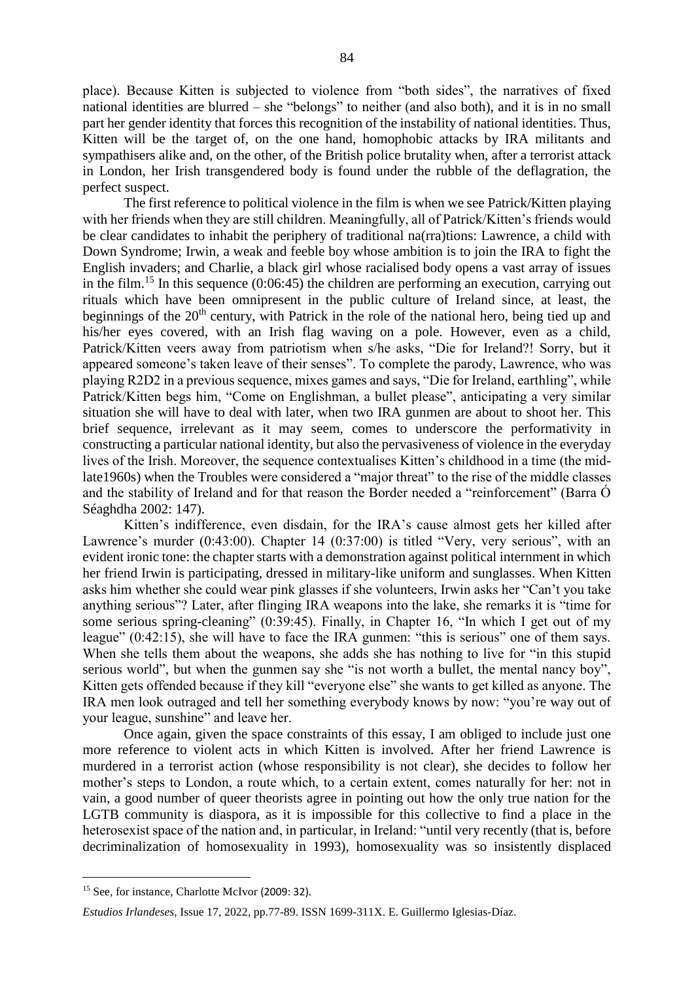place). Because Kitten is subjected to violence from "both sides", the narratives of fixed national identities are blurred – she "belongs" to neither (and also both), and it is in no small part her gender identity that forces this recognition of the instability of national identities. Thus, Kitten will be the target of, on the one hand, homophobic attacks by IRA militants and sympathisers alike and, on the other, of the British police brutality when, after a terrorist attack in London, her Irish transgendered body is found under the rubble of the deflagration, the perfect suspect.

The first reference to political violence in the film is when we see Patrick/Kitten playing with her friends when they are still children. Meaningfully, all of Patrick/Kitten's friends would be clear candidates to inhabit the periphery of traditional na(rra)tions: Lawrence, a child with Down Syndrome; Irwin, a weak and feeble boy whose ambition is to join the IRA to fight the English invaders; and Charlie, a black girl whose racialised body opens a vast array of issues in the film.<sup>15</sup> In this sequence  $(0.06:45)$  the children are performing an execution, carrying out rituals which have been omnipresent in the public culture of Ireland since, at least, the beginnings of the  $20<sup>th</sup>$  century, with Patrick in the role of the national hero, being tied up and his/her eyes covered, with an Irish flag waving on a pole. However, even as a child, Patrick/Kitten veers away from patriotism when s/he asks, "Die for Ireland?! Sorry, but it appeared someone's taken leave of their senses". To complete the parody, Lawrence, who was playing R2D2 in a previous sequence, mixes games and says, "Die for Ireland, earthling", while Patrick/Kitten begs him, "Come on Englishman, a bullet please", anticipating a very similar situation she will have to deal with later, when two IRA gunmen are about to shoot her. This brief sequence, irrelevant as it may seem, comes to underscore the performativity in constructing a particular national identity, but also the pervasiveness of violence in the everyday lives of the Irish. Moreover, the sequence contextualises Kitten's childhood in a time (the midlate1960s) when the Troubles were considered a "major threat" to the rise of the middle classes and the stability of Ireland and for that reason the Border needed a "reinforcement" (Barra Ó Séaghdha 2002: 147).

Kitten's indifference, even disdain, for the IRA's cause almost gets her killed after Lawrence's murder (0:43:00). Chapter 14 (0:37:00) is titled "Very, very serious", with an evident ironic tone: the chapter starts with a demonstration against political internment in which her friend Irwin is participating, dressed in military-like uniform and sunglasses. When Kitten asks him whether she could wear pink glasses if she volunteers, Irwin asks her "Can't you take anything serious"? Later, after flinging IRA weapons into the lake, she remarks it is "time for some serious spring-cleaning" (0:39:45). Finally, in Chapter 16, "In which I get out of my league" (0:42:15), she will have to face the IRA gunmen: "this is serious" one of them says. When she tells them about the weapons, she adds she has nothing to live for "in this stupid serious world", but when the gunmen say she "is not worth a bullet, the mental nancy boy", Kitten gets offended because if they kill "everyone else" she wants to get killed as anyone. The IRA men look outraged and tell her something everybody knows by now: "you're way out of your league, sunshine" and leave her.

Once again, given the space constraints of this essay, I am obliged to include just one more reference to violent acts in which Kitten is involved. After her friend Lawrence is murdered in a terrorist action (whose responsibility is not clear), she decides to follow her mother's steps to London, a route which, to a certain extent, comes naturally for her: not in vain, a good number of queer theorists agree in pointing out how the only true nation for the LGTB community is diaspora, as it is impossible for this collective to find a place in the heterosexist space of the nation and, in particular, in Ireland: "until very recently (that is, before decriminalization of homosexuality in 1993), homosexuality was so insistently displaced

<sup>&</sup>lt;sup>15</sup> See, for instance, Charlotte McIvor (2009: 32).

*Estudios Irlandeses*, Issue 17, 2022, pp.77-89. ISSN 1699-311X. E. Guillermo Iglesias-Díaz.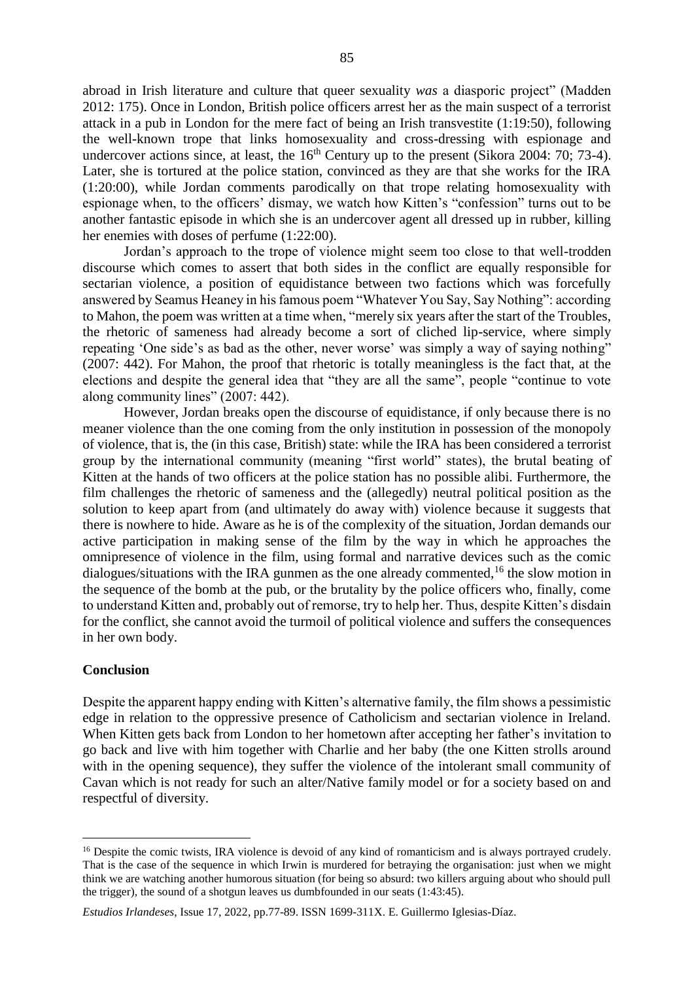abroad in Irish literature and culture that queer sexuality *was* a diasporic project" (Madden 2012: 175). Once in London, British police officers arrest her as the main suspect of a terrorist attack in a pub in London for the mere fact of being an Irish transvestite (1:19:50), following the well-known trope that links homosexuality and cross-dressing with espionage and undercover actions since, at least, the  $16<sup>th</sup>$  Century up to the present (Sikora 2004: 70; 73-4). Later, she is tortured at the police station, convinced as they are that she works for the IRA (1:20:00), while Jordan comments parodically on that trope relating homosexuality with espionage when, to the officers' dismay, we watch how Kitten's "confession" turns out to be another fantastic episode in which she is an undercover agent all dressed up in rubber, killing her enemies with doses of perfume (1:22:00).

Jordan's approach to the trope of violence might seem too close to that well-trodden discourse which comes to assert that both sides in the conflict are equally responsible for sectarian violence, a position of equidistance between two factions which was forcefully answered by Seamus Heaney in his famous poem "Whatever You Say, Say Nothing": according to Mahon, the poem was written at a time when, "merely six years after the start of the Troubles, the rhetoric of sameness had already become a sort of cliched lip-service, where simply repeating 'One side's as bad as the other, never worse' was simply a way of saying nothing" (2007: 442). For Mahon, the proof that rhetoric is totally meaningless is the fact that, at the elections and despite the general idea that "they are all the same", people "continue to vote along community lines" (2007: 442).

However, Jordan breaks open the discourse of equidistance, if only because there is no meaner violence than the one coming from the only institution in possession of the monopoly of violence, that is, the (in this case, British) state: while the IRA has been considered a terrorist group by the international community (meaning "first world" states), the brutal beating of Kitten at the hands of two officers at the police station has no possible alibi. Furthermore, the film challenges the rhetoric of sameness and the (allegedly) neutral political position as the solution to keep apart from (and ultimately do away with) violence because it suggests that there is nowhere to hide. Aware as he is of the complexity of the situation, Jordan demands our active participation in making sense of the film by the way in which he approaches the omnipresence of violence in the film, using formal and narrative devices such as the comic dialogues/situations with the IRA gunmen as the one already commented,  $^{16}$  the slow motion in the sequence of the bomb at the pub, or the brutality by the police officers who, finally, come to understand Kitten and, probably out of remorse, try to help her. Thus, despite Kitten's disdain for the conflict, she cannot avoid the turmoil of political violence and suffers the consequences in her own body.

#### **Conclusion**

 $\overline{a}$ 

Despite the apparent happy ending with Kitten's alternative family, the film shows a pessimistic edge in relation to the oppressive presence of Catholicism and sectarian violence in Ireland. When Kitten gets back from London to her hometown after accepting her father's invitation to go back and live with him together with Charlie and her baby (the one Kitten strolls around with in the opening sequence), they suffer the violence of the intolerant small community of Cavan which is not ready for such an alter/Native family model or for a society based on and respectful of diversity.

<sup>&</sup>lt;sup>16</sup> Despite the comic twists, IRA violence is devoid of any kind of romanticism and is always portrayed crudely. That is the case of the sequence in which Irwin is murdered for betraying the organisation: just when we might think we are watching another humorous situation (for being so absurd: two killers arguing about who should pull the trigger), the sound of a shotgun leaves us dumbfounded in our seats (1:43:45).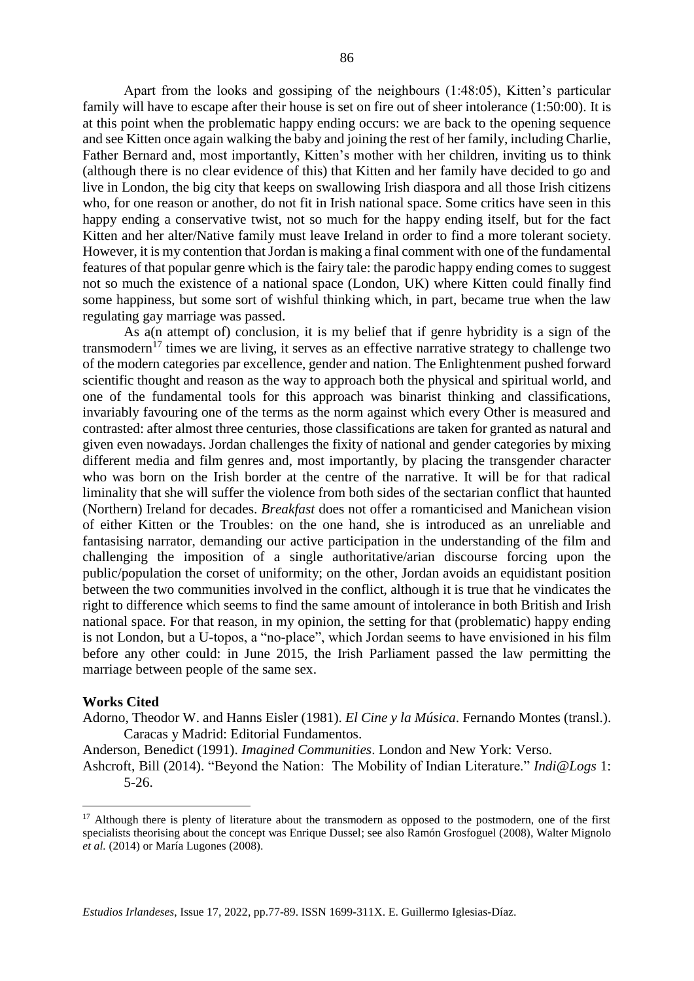Apart from the looks and gossiping of the neighbours (1:48:05), Kitten's particular family will have to escape after their house is set on fire out of sheer intolerance (1:50:00). It is at this point when the problematic happy ending occurs: we are back to the opening sequence and see Kitten once again walking the baby and joining the rest of her family, including Charlie, Father Bernard and, most importantly, Kitten's mother with her children, inviting us to think (although there is no clear evidence of this) that Kitten and her family have decided to go and live in London, the big city that keeps on swallowing Irish diaspora and all those Irish citizens who, for one reason or another, do not fit in Irish national space. Some critics have seen in this happy ending a conservative twist, not so much for the happy ending itself, but for the fact Kitten and her alter/Native family must leave Ireland in order to find a more tolerant society. However, it is my contention that Jordan is making a final comment with one of the fundamental features of that popular genre which is the fairy tale: the parodic happy ending comes to suggest not so much the existence of a national space (London, UK) where Kitten could finally find some happiness, but some sort of wishful thinking which, in part, became true when the law regulating gay marriage was passed.

As a(n attempt of) conclusion, it is my belief that if genre hybridity is a sign of the transmodern<sup>17</sup> times we are living, it serves as an effective narrative strategy to challenge two of the modern categories par excellence, gender and nation. The Enlightenment pushed forward scientific thought and reason as the way to approach both the physical and spiritual world, and one of the fundamental tools for this approach was binarist thinking and classifications, invariably favouring one of the terms as the norm against which every Other is measured and contrasted: after almost three centuries, those classifications are taken for granted as natural and given even nowadays. Jordan challenges the fixity of national and gender categories by mixing different media and film genres and, most importantly, by placing the transgender character who was born on the Irish border at the centre of the narrative. It will be for that radical liminality that she will suffer the violence from both sides of the sectarian conflict that haunted (Northern) Ireland for decades. *Breakfast* does not offer a romanticised and Manichean vision of either Kitten or the Troubles: on the one hand, she is introduced as an unreliable and fantasising narrator, demanding our active participation in the understanding of the film and challenging the imposition of a single authoritative/arian discourse forcing upon the public/population the corset of uniformity; on the other, Jordan avoids an equidistant position between the two communities involved in the conflict, although it is true that he vindicates the right to difference which seems to find the same amount of intolerance in both British and Irish national space. For that reason, in my opinion, the setting for that (problematic) happy ending is not London, but a U-topos, a "no-place", which Jordan seems to have envisioned in his film before any other could: in June 2015, the Irish Parliament passed the law permitting the marriage between people of the same sex.

#### **Works Cited**

 $\overline{a}$ 

Adorno, Theodor W. and Hanns Eisler (1981). *El Cine y la Música*. Fernando Montes (transl.). Caracas y Madrid: Editorial Fundamentos.

Anderson, Benedict (1991). *Imagined Communities*. London and New York: Verso. Ashcroft, Bill (2014). "Beyond the Nation: The Mobility of Indian Literature." *Indi@Logs* 1: 5-26.

<sup>&</sup>lt;sup>17</sup> Although there is plenty of literature about the transmodern as opposed to the postmodern, one of the first specialists theorising about the concept was Enrique Dussel; see also Ramón Grosfoguel (2008), Walter Mignolo *et al.* (2014) or María Lugones (2008).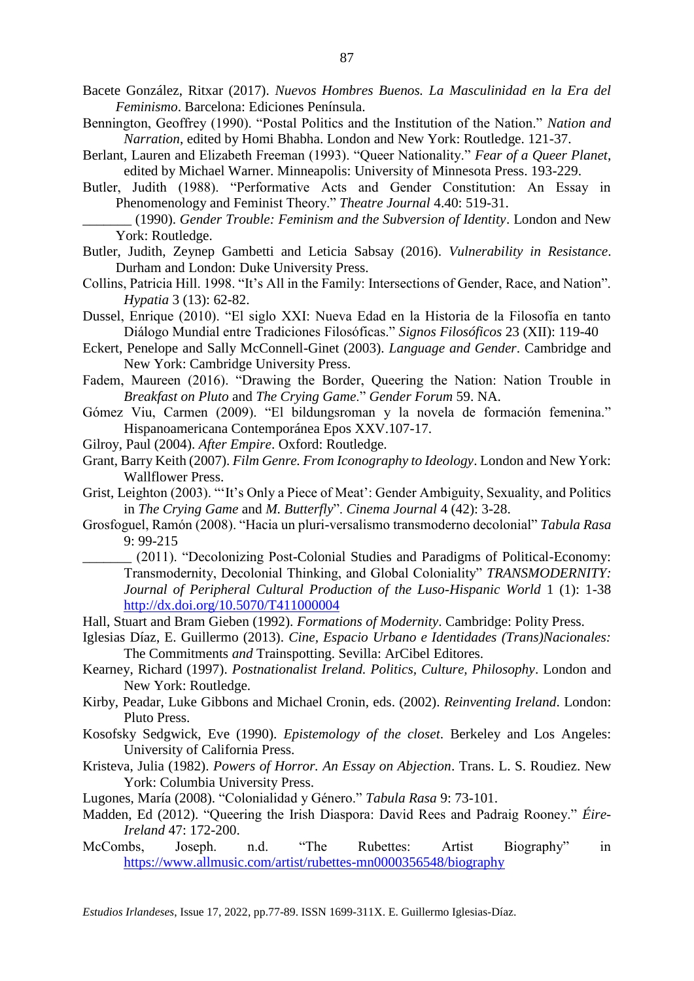- Bacete González, Ritxar (2017). *Nuevos Hombres Buenos. La Masculinidad en la Era del Feminismo*. Barcelona: Ediciones Península.
- Bennington, Geoffrey (1990). "Postal Politics and the Institution of the Nation." *Nation and Narration*, edited by Homi Bhabha. London and New York: Routledge. 121-37.
- Berlant, Lauren and Elizabeth Freeman (1993). "Queer Nationality." *Fear of a Queer Planet*, edited by Michael Warner. Minneapolis: University of Minnesota Press. 193-229.
- Butler, Judith (1988). "Performative Acts and Gender Constitution: An Essay in Phenomenology and Feminist Theory." *Theatre Journal* 4.40: 519-31.
	- \_\_\_\_\_\_\_ (1990). *Gender Trouble: Feminism and the Subversion of Identity*. London and New York: Routledge.
- Butler, Judith, Zeynep Gambetti and Leticia Sabsay (2016). *Vulnerability in Resistance*. Durham and London: Duke University Press.
- Collins, Patricia Hill. 1998. "It's All in the Family: Intersections of Gender, Race, and Nation". *Hypatia* 3 (13): 62-82.
- Dussel, Enrique (2010). "El siglo XXI: Nueva Edad en la Historia de la Filosofía en tanto Diálogo Mundial entre Tradiciones Filosóficas." *Signos Filosóficos* 23 (XII): 119-40
- Eckert, Penelope and Sally McConnell-Ginet (2003). *Language and Gender*. Cambridge and New York: Cambridge University Press.
- Fadem, Maureen (2016). "Drawing the Border, Queering the Nation: Nation Trouble in *Breakfast on Pluto* and *The Crying Game*." *Gender Forum* 59. NA.
- Gómez Viu, Carmen (2009). "El bildungsroman y la novela de formación femenina." Hispanoamericana Contemporánea Epos XXV.107-17.
- Gilroy, Paul (2004). *After Empire*. Oxford: Routledge.
- Grant, Barry Keith (2007). *Film Genre. From Iconography to Ideology*. London and New York: Wallflower Press.
- Grist, Leighton (2003). "'It's Only a Piece of Meat': Gender Ambiguity, Sexuality, and Politics in *The Crying Game* and *M. Butterfly*". *Cinema Journal* 4 (42): 3-28.
- Grosfoguel, Ramón (2008). "Hacia un pluri-versalismo transmoderno decolonial" *Tabula Rasa* 9: 99-215
	- \_\_\_\_\_\_\_ (2011). "Decolonizing Post-Colonial Studies and Paradigms of Political-Economy: Transmodernity, Decolonial Thinking, and Global Coloniality" *TRANSMODERNITY: Journal of Peripheral Cultural Production of the Luso-Hispanic World* 1 (1): 1-38 <http://dx.doi.org/10.5070/T411000004>
- Hall, Stuart and Bram Gieben (1992). *Formations of Modernity*. Cambridge: Polity Press.
- Iglesias Díaz, E. Guillermo (2013). *Cine, Espacio Urbano e Identidades (Trans)Nacionales:* The Commitments *and* Trainspotting. Sevilla: ArCibel Editores.
- Kearney, Richard (1997). *Postnationalist Ireland. Politics, Culture, Philosophy*. London and New York: Routledge.
- Kirby, Peadar, Luke Gibbons and Michael Cronin, eds. (2002). *Reinventing Ireland*. London: Pluto Press.
- Kosofsky Sedgwick, Eve (1990). *Epistemology of the closet*. Berkeley and Los Angeles: University of California Press.
- Kristeva, Julia (1982). *Powers of Horror. An Essay on Abjection*. Trans. L. S. Roudiez. New York: Columbia University Press.
- Lugones, María (2008). "Colonialidad y Género." *Tabula Rasa* 9: 73-101.
- Madden, Ed (2012). "Queering the Irish Diaspora: David Rees and Padraig Rooney." *Éire-Ireland* 47: 172-200.
- McCombs, Joseph. n.d. "The Rubettes: Artist Biography" in <https://www.allmusic.com/artist/rubettes-mn0000356548/biography>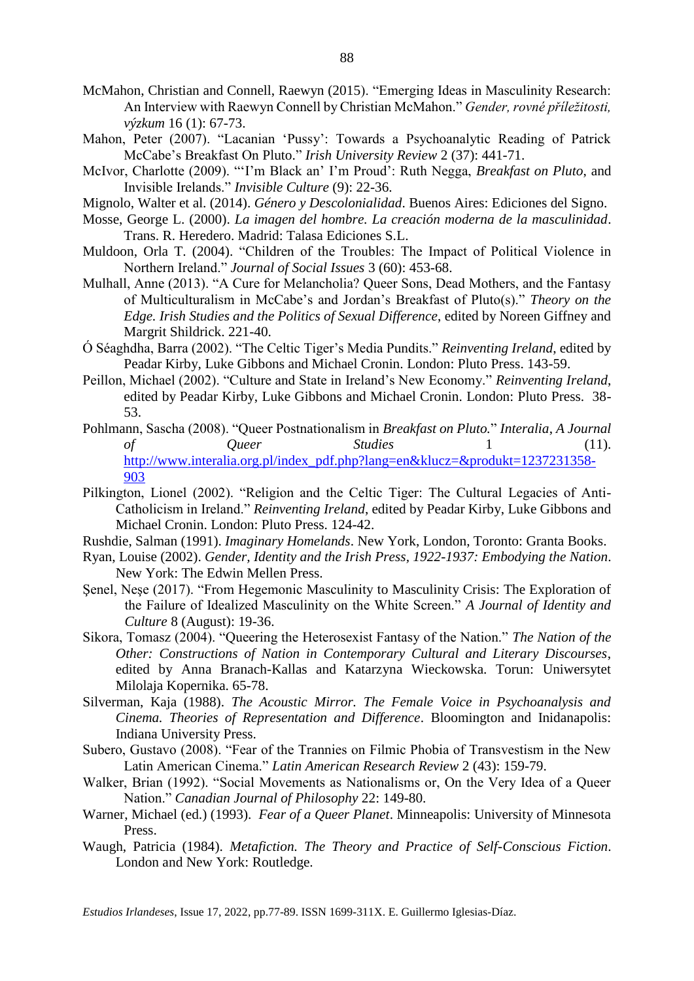- McMahon, Christian and Connell, Raewyn (2015). "Emerging Ideas in Masculinity Research: An Interview with Raewyn Connell by Christian McMahon." *Gender, rovné příležitosti, výzkum* 16 (1): 67-73.
- Mahon, Peter (2007). "Lacanian 'Pussy': Towards a Psychoanalytic Reading of Patrick McCabe's Breakfast On Pluto." *Irish University Review* 2 (37): 441-71.
- McIvor, Charlotte (2009). "'I'm Black an' I'm Proud': Ruth Negga, *Breakfast on Pluto*, and Invisible Irelands." *Invisible Culture* (9): 22-36.
- Mignolo, Walter et al. (2014). *Género y Descolonialidad*. Buenos Aires: Ediciones del Signo.
- Mosse, George L. (2000). *La imagen del hombre. La creación moderna de la masculinidad*. Trans. R. Heredero. Madrid: Talasa Ediciones S.L.
- Muldoon, Orla T. (2004). "Children of the Troubles: The Impact of Political Violence in Northern Ireland." *Journal of Social Issues* 3 (60): 453-68.
- Mulhall, Anne (2013). "A Cure for Melancholia? Queer Sons, Dead Mothers, and the Fantasy of Multiculturalism in McCabe's and Jordan's Breakfast of Pluto(s)." *Theory on the Edge. Irish Studies and the Politics of Sexual Difference*, edited by Noreen Giffney and Margrit Shildrick. 221-40.
- Ó Séaghdha, Barra (2002). "The Celtic Tiger's Media Pundits." *Reinventing Ireland*, edited by Peadar Kirby, Luke Gibbons and Michael Cronin. London: Pluto Press. 143-59.
- Peillon, Michael (2002). "Culture and State in Ireland's New Economy." *Reinventing Ireland*, edited by Peadar Kirby, Luke Gibbons and Michael Cronin. London: Pluto Press. 38- 53.
- Pohlmann, Sascha (2008). "Queer Postnationalism in *Breakfast on Pluto.*" *Interalia*, *A Journal of Queer Studies* 1 (11). [http://www.interalia.org.pl/index\\_pdf.php?lang=en&klucz=&produkt=1237231358-](http://www.interalia.org.pl/index_pdf.php?lang=en&klucz=&produkt=1237231358-903) [903](http://www.interalia.org.pl/index_pdf.php?lang=en&klucz=&produkt=1237231358-903)
- Pilkington, Lionel (2002). "Religion and the Celtic Tiger: The Cultural Legacies of Anti-Catholicism in Ireland." *Reinventing Ireland*, edited by Peadar Kirby, Luke Gibbons and Michael Cronin. London: Pluto Press. 124-42.
- Rushdie, Salman (1991). *Imaginary Homelands*. New York, London, Toronto: Granta Books.
- Ryan, Louise (2002). *Gender, Identity and the Irish Press, 1922-1937: Embodying the Nation*. New York: The Edwin Mellen Press.
- Şenel, Neşe (2017). "From Hegemonic Masculinity to Masculinity Crisis: The Exploration of the Failure of Idealized Masculinity on the White Screen." *A Journal of Identity and Culture* 8 (August): 19-36.
- Sikora, Tomasz (2004). "Queering the Heterosexist Fantasy of the Nation." *The Nation of the Other: Constructions of Nation in Contemporary Cultural and Literary Discourses*, edited by Anna Branach-Kallas and Katarzyna Wieckowska. Torun: Uniwersytet Milolaja Kopernika. 65-78.
- Silverman, Kaja (1988). *The Acoustic Mirror. The Female Voice in Psychoanalysis and Cinema. Theories of Representation and Difference*. Bloomington and Inidanapolis: Indiana University Press.
- Subero, Gustavo (2008). "Fear of the Trannies on Filmic Phobia of Transvestism in the New Latin American Cinema." *Latin American Research Review* 2 (43): 159-79.
- Walker, Brian (1992). "Social Movements as Nationalisms or, On the Very Idea of a Queer Nation." *Canadian Journal of Philosophy* 22: 149-80.
- Warner, Michael (ed.) (1993). *Fear of a Queer Planet*. Minneapolis: University of Minnesota Press.
- Waugh, Patricia (1984). *Metafiction. The Theory and Practice of Self-Conscious Fiction*. London and New York: Routledge.

*Estudios Irlandeses*, Issue 17, 2022, pp.77-89. ISSN 1699-311X. E. Guillermo Iglesias-Díaz.